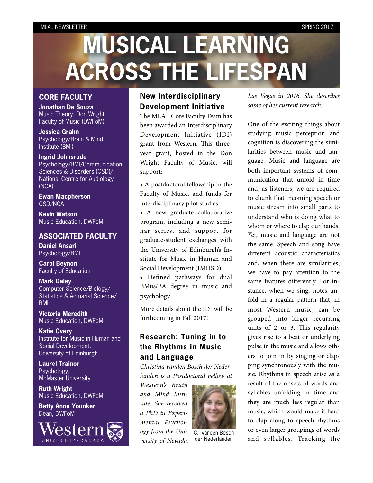# **MUSICAL LEARNING ACROSS THE LIFESPAN**

## **CORE FACULTY**

**Jonathan De Souza** Music Theory, Don Wright Faculty of Music (DWFoM)

**Jessica Grahn** Psychology/Brain & Mind Institute (BMI)

**Ingrid Johnsrude** Psychology/BMI/Communication Sciences & Disorders (CSD)/ National Centre for Audiology (NCA)

**Ewan Macpherson** CSD/NCA

**Kevin Watson** Music Education, DWFoM

#### **ASSOCIATED FACULTY**

**Daniel Ansari** Psychology/BMI

**Carol Beynon** Faculty of Education

**Mark Daley** Computer Science/Biology/ Statistics & Actuarial Science/ BMI

**Victoria Meredith** Music Education, DWFoM

**Katie Overy** Institute for Music in Human and Social Development, University of Edinburgh

**Laurel Trainor** Psychology, McMaster University

**Ruth Wright** Music Education, DWFoM

**Betty Anne Younker** Dean, DWFoM



# **New Interdisciplinary Development Initiative**

The MLAL Core Faculty Team has been awarded an Interdisciplinary Development Initiative (IDI) grant from Western. This threeyear grant, hosted in the Don Wright Faculty of Music, will support:

• A postdoctoral fellowship in the Faculty of Music, and funds for interdisciplinary pilot studies

• A new graduate collaborative program, including a new seminar series, and support for graduate-student exchanges with the University of Edinburgh's Institute for Music in Human and Social Development (IMHSD)

• Defined pathways for dual BMus/BA degree in music and psychology

More details about the IDI will be forthcoming in Fall 2017!

# **Research: Tuning in to the Rhythms in Music and Language**

*Christina vanden Bosch der Nederlanden is a Postdoctoral Fellow at* 

*Western's Brain and Mind Institute. She received a PhD in Experimental Psychology from the University of Nevada,* 



C. vanden Bosch der Nederlanden

*Las Vegas in 2016. She describes some of her current research:*

One of the exciting things about studying music perception and cognition is discovering the similarities between music and language. Music and language are both important systems of communication that unfold in time and, as listeners, we are required to chunk that incoming speech or music stream into small parts to understand who is doing what to whom or where to clap our hands. Yet, music and language are not the same. Speech and song have different acoustic characteristics and, when there are similarities, we have to pay attention to the same features differently. For instance, when we sing, notes unfold in a regular pattern that, in most Western music, can be grouped into larger recurring units of  $2$  or  $3$ . This regularity gives rise to a beat or underlying pulse in the music and allows others to join in by singing or clapping synchronously with the music. Rhythms in speech arise as a result of the onsets of words and syllables unfolding in time and they are much less regular than music, which would make it hard to clap along to speech rhythms or even larger groupings of words and syllables. Tracking the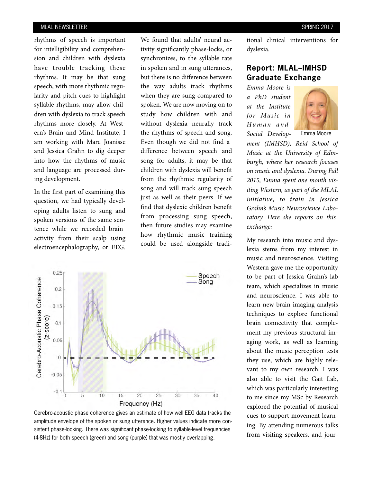rhythms of speech is important for intelligibility and comprehension and children with dyslexia have trouble tracking these rhythms. It may be that sung speech, with more rhythmic regularity and pitch cues to highlight syllable rhythms, may allow children with dyslexia to track speech rhythms more closely. At Western's Brain and Mind Institute, I am working with Marc Joanisse and Jessica Grahn to dig deeper into how the rhythms of music and language are processed during development.

In the first part of examining this question, we had typically developing adults listen to sung and spoken versions of the same sentence while we recorded brain activity from their scalp using electroencephalography, or EEG.

We found that adults' neural activity significantly phase-locks, or synchronizes, to the syllable rate in spoken and in sung utterances, but there is no difference between the way adults track rhythms when they are sung compared to spoken. We are now moving on to study how children with and without dyslexia neurally track the rhythms of speech and song. Even though we did not find a difference between speech and song for adults, it may be that children with dyslexia will benefit from the rhythmic regularity of song and will track sung speech just as well as their peers. If we find that dyslexic children benefit from processing sung speech, then future studies may examine how rhythmic music training could be used alongside tradi-



Cerebro-acoustic phase coherence gives an estimate of how well EEG data tracks the amplitude envelope of the spoken or sung utterance. Higher values indicate more consistent phase-locking. There was significant phase-locking to syllable-level frequencies (4-8Hz) for both speech (green) and song (purple) that was mostly overlapping.

tional clinical interventions for dyslexia.

## **Report: MLAL–IMHSD Graduate Exchange**

*Emma Moore is a PhD student at the Institute for Music in Hu m a n a n d Social Develop-*



Emma Moore

*ment (IMHSD), Reid School of Music at the University of Edinburgh, where her research focuses on music and dyslexia. During Fall 2015, Emma spent one month visiting Western, as part of the MLAL initiative, to train in Jessica Grahn's Music Neuroscience Laboratory. Here she reports on this exchange:*

My research into music and dyslexia stems from my interest in music and neuroscience. Visiting Western gave me the opportunity to be part of Jessica Grahn's lab team, which specializes in music and neuroscience. I was able to learn new brain imaging analysis techniques to explore functional brain connectivity that complement my previous structural imaging work, as well as learning about the music perception tests they use, which are highly relevant to my own research. I was also able to visit the Gait Lab, which was particularly interesting to me since my MSc by Research explored the potential of musical cues to support movement learning. By attending numerous talks from visiting speakers, and jour-